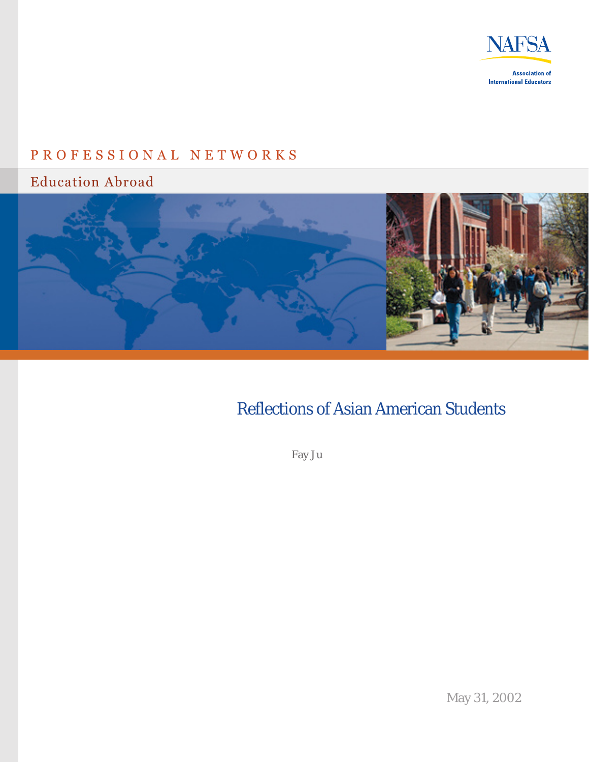

# P R O F E S S I O N A L N E T W O R K S

Education Abroad



# Reflections of Asian American Students

Fay Ju

May 31, 2002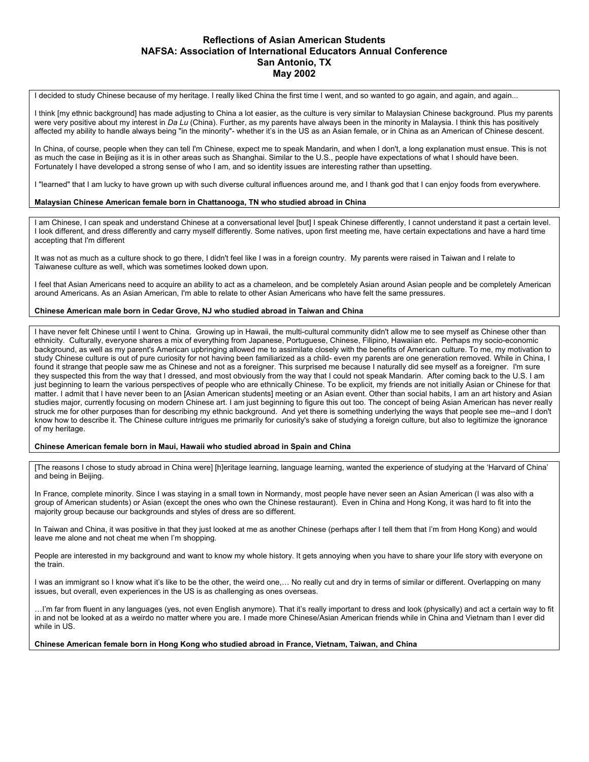## **Reflections of Asian American Students NAFSA: Association of International Educators Annual Conference San Antonio, TX May 2002**

I decided to study Chinese because of my heritage. I really liked China the first time I went, and so wanted to go again, and again, and again...

I think [my ethnic background] has made adjusting to China a lot easier, as the culture is very similar to Malaysian Chinese background. Plus my parents were very positive about my interest in *Da Lu* (China). Further, as my parents have always been in the minority in Malaysia. I think this has positively affected my ability to handle always being "in the minority"- whether it's in the US as an Asian female, or in China as an American of Chinese descent.

In China, of course, people when they can tell I'm Chinese, expect me to speak Mandarin, and when I don't, a long explanation must ensue. This is not as much the case in Beijing as it is in other areas such as Shanghai. Similar to the U.S., people have expectations of what I should have been. Fortunately I have developed a strong sense of who I am, and so identity issues are interesting rather than upsetting.

I "learned" that I am lucky to have grown up with such diverse cultural influences around me, and I thank god that I can enjoy foods from everywhere.

#### **Malaysian Chinese American female born in Chattanooga, TN who studied abroad in China**

I am Chinese, I can speak and understand Chinese at a conversational level [but] I speak Chinese differently, I cannot understand it past a certain level. I look different, and dress differently and carry myself differently. Some natives, upon first meeting me, have certain expectations and have a hard time accepting that I'm different

It was not as much as a culture shock to go there, I didn't feel like I was in a foreign country. My parents were raised in Taiwan and I relate to Taiwanese culture as well, which was sometimes looked down upon.

I feel that Asian Americans need to acquire an ability to act as a chameleon, and be completely Asian around Asian people and be completely American around Americans. As an Asian American, I'm able to relate to other Asian Americans who have felt the same pressures.

#### **Chinese American male born in Cedar Grove, NJ who studied abroad in Taiwan and China**

I have never felt Chinese until I went to China. Growing up in Hawaii, the multi-cultural community didn't allow me to see myself as Chinese other than ethnicity. Culturally, everyone shares a mix of everything from Japanese, Portuguese, Chinese, Filipino, Hawaiian etc. Perhaps my socio-economic background, as well as my parent's American upbringing allowed me to assimilate closely with the benefits of American culture. To me, my motivation to study Chinese culture is out of pure curiosity for not having been familiarized as a child- even my parents are one generation removed. While in China, I found it strange that people saw me as Chinese and not as a foreigner. This surprised me because I naturally did see myself as a foreigner. I'm sure they suspected this from the way that I dressed, and most obviously from the way that I could not speak Mandarin. After coming back to the U.S. I am just beginning to learn the various perspectives of people who are ethnically Chinese. To be explicit, my friends are not initially Asian or Chinese for that matter. I admit that I have never been to an [Asian American students] meeting or an Asian event. Other than social habits, I am an art history and Asian studies major, currently focusing on modern Chinese art. I am just beginning to figure this out too. The concept of being Asian American has never really struck me for other purposes than for describing my ethnic background. And yet there is something underlying the ways that people see me--and I don't know how to describe it. The Chinese culture intrigues me primarily for curiosity's sake of studying a foreign culture, but also to legitimize the ignorance of my heritage.

#### **Chinese American female born in Maui, Hawaii who studied abroad in Spain and China**

[The reasons I chose to study abroad in China were] [h]eritage learning, language learning, wanted the experience of studying at the 'Harvard of China' and being in Beijing.

In France, complete minority. Since I was staying in a small town in Normandy, most people have never seen an Asian American (I was also with a group of American students) or Asian (except the ones who own the Chinese restaurant). Even in China and Hong Kong, it was hard to fit into the majority group because our backgrounds and styles of dress are so different.

In Taiwan and China, it was positive in that they just looked at me as another Chinese (perhaps after I tell them that I'm from Hong Kong) and would leave me alone and not cheat me when I'm shopping.

People are interested in my background and want to know my whole history. It gets annoying when you have to share your life story with everyone on the train.

I was an immigrant so I know what it's like to be the other, the weird one,… No really cut and dry in terms of similar or different. Overlapping on many issues, but overall, even experiences in the US is as challenging as ones overseas.

…I'm far from fluent in any languages (yes, not even English anymore). That it's really important to dress and look (physically) and act a certain way to fit in and not be looked at as a weirdo no matter where you are. I made more Chinese/Asian American friends while in China and Vietnam than I ever did while in US.

**Chinese American female born in Hong Kong who studied abroad in France, Vietnam, Taiwan, and China**